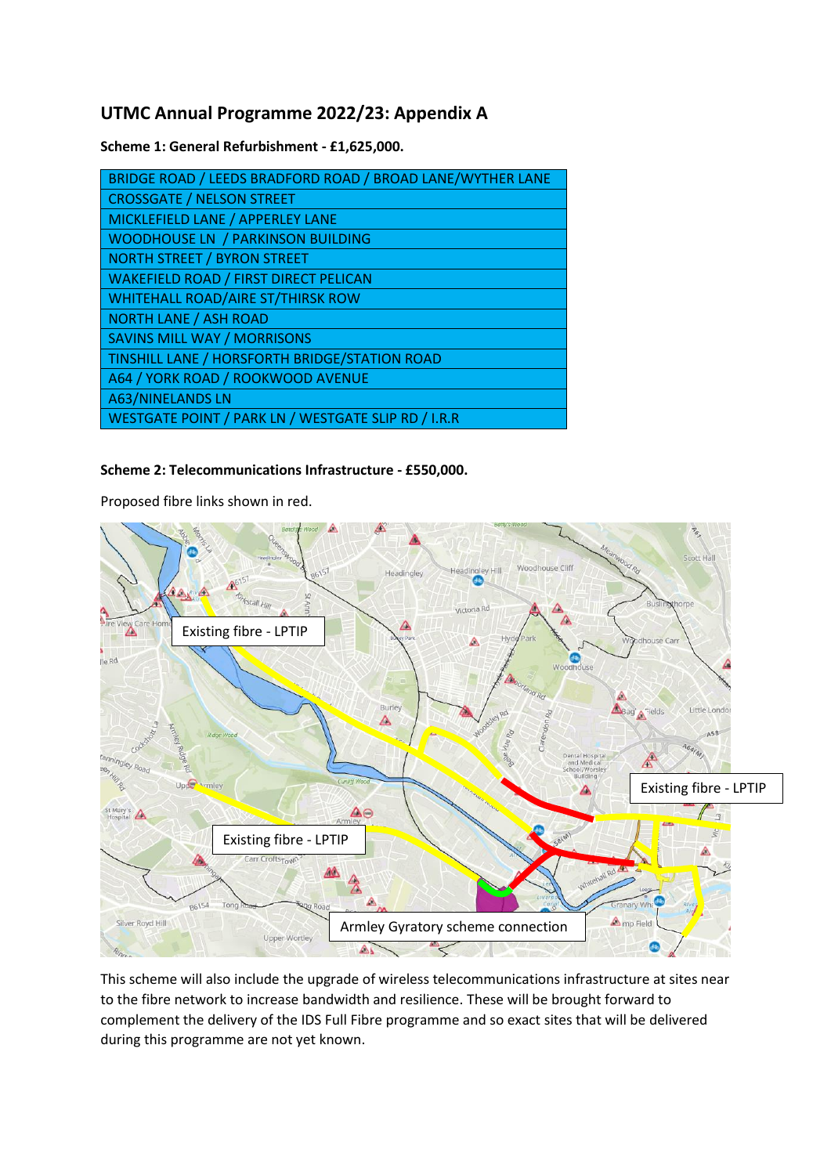## **UTMC Annual Programme 2022/23: Appendix A**

**Scheme 1: General Refurbishment - £1,625,000.**

| BRIDGE ROAD / LEEDS BRADFORD ROAD / BROAD LANE/WYTHER LANE |
|------------------------------------------------------------|
| <b>CROSSGATE / NELSON STREET</b>                           |
| MICKLEFIELD LANE / APPERLEY LANE                           |
| <b>WOODHOUSE LN / PARKINSON BUILDING</b>                   |
| <b>NORTH STREET / BYRON STREET</b>                         |
| <b>WAKEFIELD ROAD / FIRST DIRECT PELICAN</b>               |
| <b>WHITEHALL ROAD/AIRE ST/THIRSK ROW</b>                   |
| <b>NORTH LANE / ASH ROAD</b>                               |
| <b>SAVINS MILL WAY / MORRISONS</b>                         |
| TINSHILL LANE / HORSFORTH BRIDGE/STATION ROAD              |
| A64 / YORK ROAD / ROOKWOOD AVENUE                          |
| <b>A63/NINELANDS LN</b>                                    |
| WESTGATE POINT / PARK LN / WESTGATE SLIP RD / I.R.R        |
|                                                            |

## **Scheme 2: Telecommunications Infrastructure - £550,000.**

Proposed fibre links shown in red.



This scheme will also include the upgrade of wireless telecommunications infrastructure at sites near to the fibre network to increase bandwidth and resilience. These will be brought forward to complement the delivery of the IDS Full Fibre programme and so exact sites that will be delivered during this programme are not yet known.